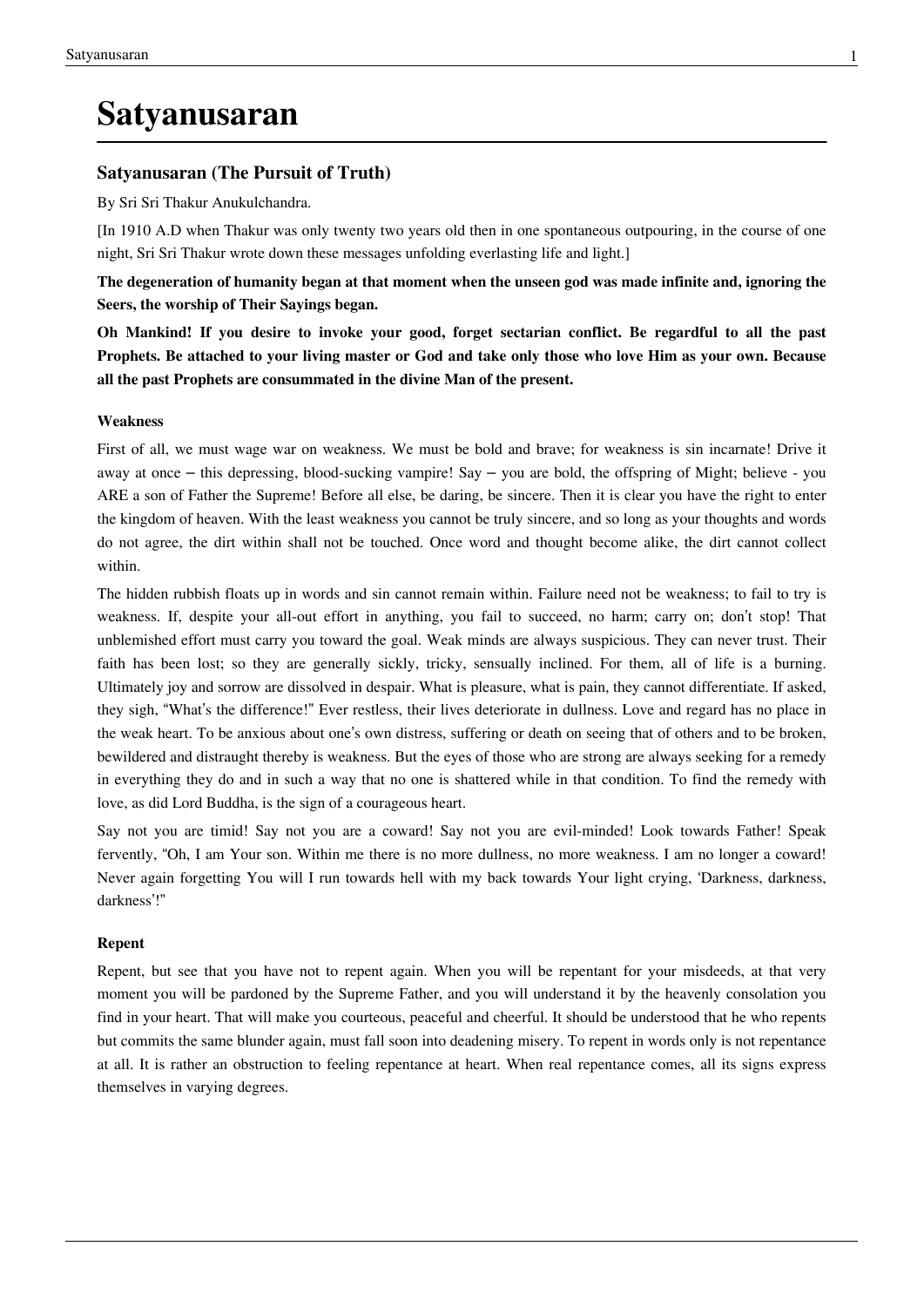# **Satyanusaran**

# **Satyanusaran (The Pursuit of Truth)**

By [Sri Sri Thakur Anukulchandra](http://en.wikisource.org/w/index.php?title=Author:Thakur_Anukulchandra).

[In 1910 A.D when Thakur was only twenty two years old then in one spontaneous outpouring, in the course of one night, Sri Sri Thakur wrote down these messages unfolding everlasting life and light.]

**The degeneration of humanity began at that moment when the unseen god was made infinite and, ignoring the Seers, the worship of Their Sayings began.**

**Oh Mankind! If you desire to invoke your good, forget sectarian conflict. Be regardful to all the past Prophets. Be attached to your living master or God and take only those who love Him as your own. Because all the past Prophets are consummated in the divine Man of the present.**

# **Weakness**

First of all, we must wage war on weakness. We must be bold and brave; for weakness is sin incarnate! Drive it away at once – this depressing, blood-sucking vampire! Say – you are bold, the offspring of Might; believe - you ARE a son of Father the Supreme! Before all else, be daring, be sincere. Then it is clear you have the right to enter the kingdom of heaven. With the least weakness you cannot be truly sincere, and so long as your thoughts and words do not agree, the dirt within shall not be touched. Once word and thought become alike, the dirt cannot collect within.

The hidden rubbish floats up in words and sin cannot remain within. Failure need not be weakness; to fail to try is weakness. If, despite your all-out effort in anything, you fail to succeed, no harm; carry on; don't stop! That unblemished effort must carry you toward the goal. Weak minds are always suspicious. They can never trust. Their faith has been lost; so they are generally sickly, tricky, sensually inclined. For them, all of life is a burning. Ultimately joy and sorrow are dissolved in despair. What is pleasure, what is pain, they cannot differentiate. If asked, they sigh, "What's the difference!" Ever restless, their lives deteriorate in dullness. Love and regard has no place in the weak heart. To be anxious about one's own distress, suffering or death on seeing that of others and to be broken, bewildered and distraught thereby is weakness. But the eyes of those who are strong are always seeking for a remedy in everything they do and in such a way that no one is shattered while in that condition. To find the remedy with love, as did Lord Buddha, is the sign of a courageous heart.

Say not you are timid! Say not you are a coward! Say not you are evil-minded! Look towards Father! Speak fervently, "Oh, I am Your son. Within me there is no more dullness, no more weakness. I am no longer a coward! Never again forgetting You will I run towards hell with my back towards Your light crying, 'Darkness, darkness, darkness'!"

# **Repent**

Repent, but see that you have not to repent again. When you will be repentant for your misdeeds, at that very moment you will be pardoned by the Supreme Father, and you will understand it by the heavenly consolation you find in your heart. That will make you courteous, peaceful and cheerful. It should be understood that he who repents but commits the same blunder again, must fall soon into deadening misery. To repent in words only is not repentance at all. It is rather an obstruction to feeling repentance at heart. When real repentance comes, all its signs express themselves in varying degrees.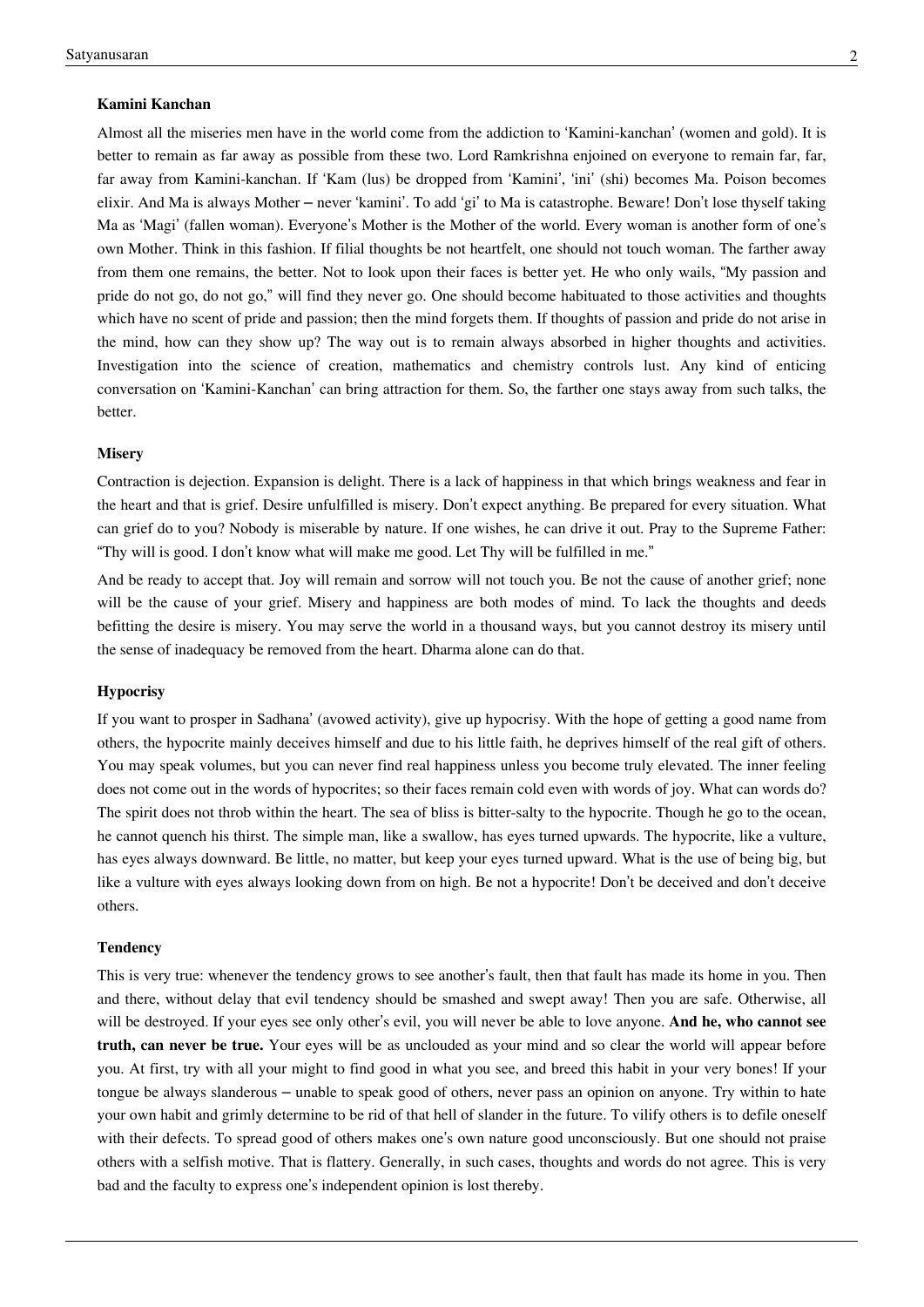## **Kamini Kanchan**

Almost all the miseries men have in the world come from the addiction to 'Kamini-kanchan' (women and gold). It is better to remain as far away as possible from these two. Lord Ramkrishna enjoined on everyone to remain far, far, far away from Kamini-kanchan. If 'Kam (lus) be dropped from 'Kamini', 'ini' (shi) becomes Ma. Poison becomes elixir. And Ma is always Mother – never 'kamini'. To add 'gi' to Ma is catastrophe. Beware! Don't lose thyself taking Ma as 'Magi' (fallen woman). Everyone's Mother is the Mother of the world. Every woman is another form of one's own Mother. Think in this fashion. If filial thoughts be not heartfelt, one should not touch woman. The farther away from them one remains, the better. Not to look upon their faces is better yet. He who only wails, "My passion and pride do not go, do not go," will find they never go. One should become habituated to those activities and thoughts which have no scent of pride and passion; then the mind forgets them. If thoughts of passion and pride do not arise in the mind, how can they show up? The way out is to remain always absorbed in higher thoughts and activities. Investigation into the science of creation, mathematics and chemistry controls lust. Any kind of enticing conversation on 'Kamini-Kanchan' can bring attraction for them. So, the farther one stays away from such talks, the better.

#### **Misery**

Contraction is dejection. Expansion is delight. There is a lack of happiness in that which brings weakness and fear in the heart and that is grief. Desire unfulfilled is misery. Don't expect anything. Be prepared for every situation. What can grief do to you? Nobody is miserable by nature. If one wishes, he can drive it out. Pray to the Supreme Father: "Thy will is good. I don't know what will make me good. Let Thy will be fulfilled in me."

And be ready to accept that. Joy will remain and sorrow will not touch you. Be not the cause of another grief; none will be the cause of your grief. Misery and happiness are both modes of mind. To lack the thoughts and deeds befitting the desire is misery. You may serve the world in a thousand ways, but you cannot destroy its misery until the sense of inadequacy be removed from the heart. Dharma alone can do that.

# **Hypocrisy**

If you want to prosper in Sadhana' (avowed activity), give up hypocrisy. With the hope of getting a good name from others, the hypocrite mainly deceives himself and due to his little faith, he deprives himself of the real gift of others. You may speak volumes, but you can never find real happiness unless you become truly elevated. The inner feeling does not come out in the words of hypocrites; so their faces remain cold even with words of joy. What can words do? The spirit does not throb within the heart. The sea of bliss is bitter-salty to the hypocrite. Though he go to the ocean, he cannot quench his thirst. The simple man, like a swallow, has eyes turned upwards. The hypocrite, like a vulture, has eyes always downward. Be little, no matter, but keep your eyes turned upward. What is the use of being big, but like a vulture with eyes always looking down from on high. Be not a hypocrite! Don't be deceived and don't deceive others.

# **Tendency**

This is very true: whenever the tendency grows to see another's fault, then that fault has made its home in you. Then and there, without delay that evil tendency should be smashed and swept away! Then you are safe. Otherwise, all will be destroyed. If your eyes see only other's evil, you will never be able to love anyone. **And he, who cannot see truth, can never be true.** Your eyes will be as unclouded as your mind and so clear the world will appear before you. At first, try with all your might to find good in what you see, and breed this habit in your very bones! If your tongue be always slanderous – unable to speak good of others, never pass an opinion on anyone. Try within to hate your own habit and grimly determine to be rid of that hell of slander in the future. To vilify others is to defile oneself with their defects. To spread good of others makes one's own nature good unconsciously. But one should not praise others with a selfish motive. That is flattery. Generally, in such cases, thoughts and words do not agree. This is very bad and the faculty to express one's independent opinion is lost thereby.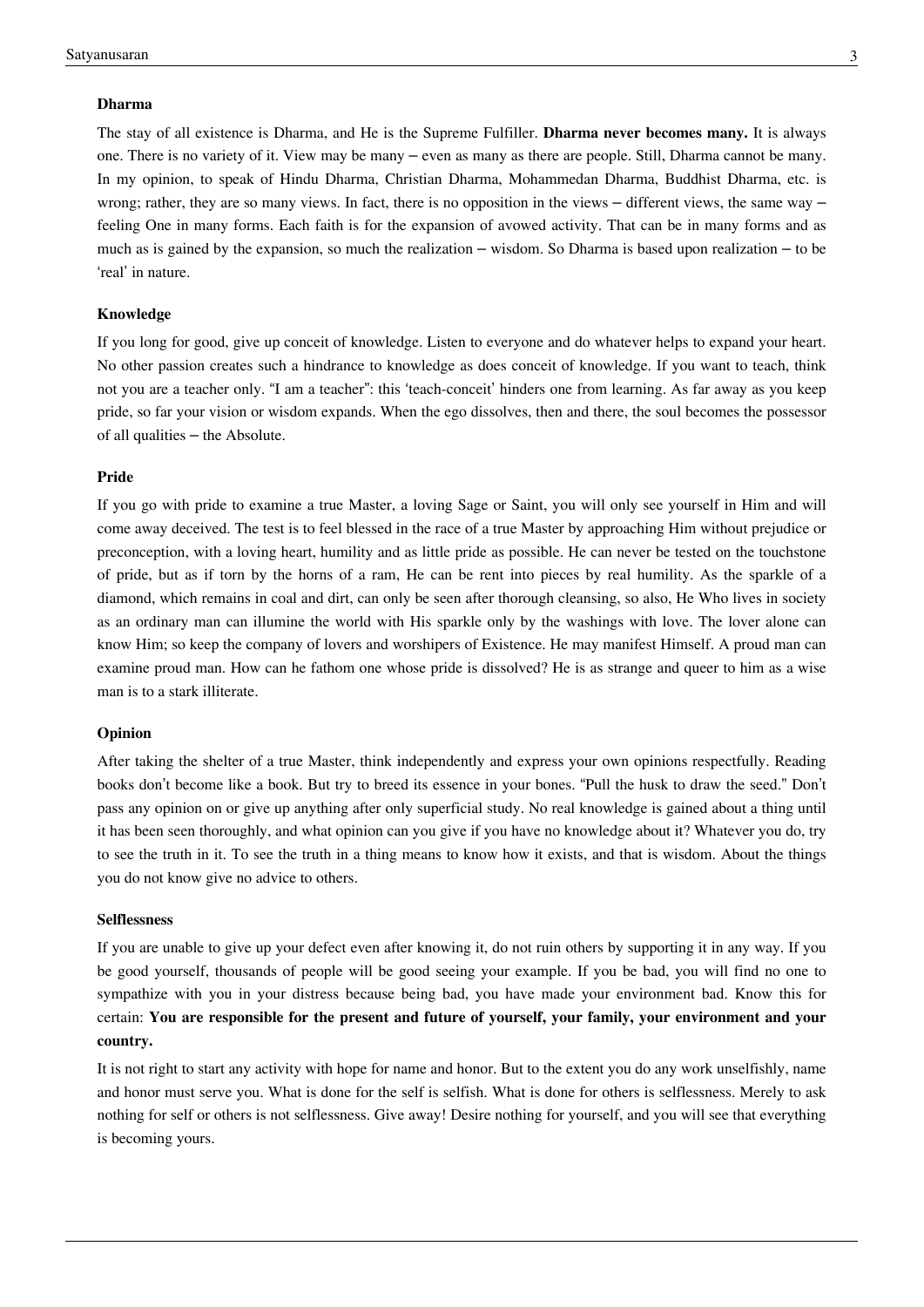# **Dharma**

The stay of all existence is Dharma, and He is the Supreme Fulfiller. **Dharma never becomes many.** It is always one. There is no variety of it. View may be many – even as many as there are people. Still, Dharma cannot be many. In my opinion, to speak of Hindu Dharma, Christian Dharma, Mohammedan Dharma, Buddhist Dharma, etc. is wrong; rather, they are so many views. In fact, there is no opposition in the views – different views, the same way – feeling One in many forms. Each faith is for the expansion of avowed activity. That can be in many forms and as much as is gained by the expansion, so much the realization – wisdom. So Dharma is based upon realization – to be 'real' in nature.

# **Knowledge**

If you long for good, give up conceit of knowledge. Listen to everyone and do whatever helps to expand your heart. No other passion creates such a hindrance to knowledge as does conceit of knowledge. If you want to teach, think not you are a teacher only. "I am a teacher": this 'teach-conceit' hinders one from learning. As far away as you keep pride, so far your vision or wisdom expands. When the ego dissolves, then and there, the soul becomes the possessor of all qualities – the Absolute.

# **Pride**

If you go with pride to examine a true Master, a loving Sage or Saint, you will only see yourself in Him and will come away deceived. The test is to feel blessed in the race of a true Master by approaching Him without prejudice or preconception, with a loving heart, humility and as little pride as possible. He can never be tested on the touchstone of pride, but as if torn by the horns of a ram, He can be rent into pieces by real humility. As the sparkle of a diamond, which remains in coal and dirt, can only be seen after thorough cleansing, so also, He Who lives in society as an ordinary man can illumine the world with His sparkle only by the washings with love. The lover alone can know Him; so keep the company of lovers and worshipers of Existence. He may manifest Himself. A proud man can examine proud man. How can he fathom one whose pride is dissolved? He is as strange and queer to him as a wise man is to a stark illiterate.

#### **Opinion**

After taking the shelter of a true Master, think independently and express your own opinions respectfully. Reading books don't become like a book. But try to breed its essence in your bones. "Pull the husk to draw the seed." Don't pass any opinion on or give up anything after only superficial study. No real knowledge is gained about a thing until it has been seen thoroughly, and what opinion can you give if you have no knowledge about it? Whatever you do, try to see the truth in it. To see the truth in a thing means to know how it exists, and that is wisdom. About the things you do not know give no advice to others.

### **Selflessness**

If you are unable to give up your defect even after knowing it, do not ruin others by supporting it in any way. If you be good yourself, thousands of people will be good seeing your example. If you be bad, you will find no one to sympathize with you in your distress because being bad, you have made your environment bad. Know this for certain: **You are responsible for the present and future of yourself, your family, your environment and your country.**

It is not right to start any activity with hope for name and honor. But to the extent you do any work unselfishly, name and honor must serve you. What is done for the self is selfish. What is done for others is selflessness. Merely to ask nothing for self or others is not selflessness. Give away! Desire nothing for yourself, and you will see that everything is becoming yours.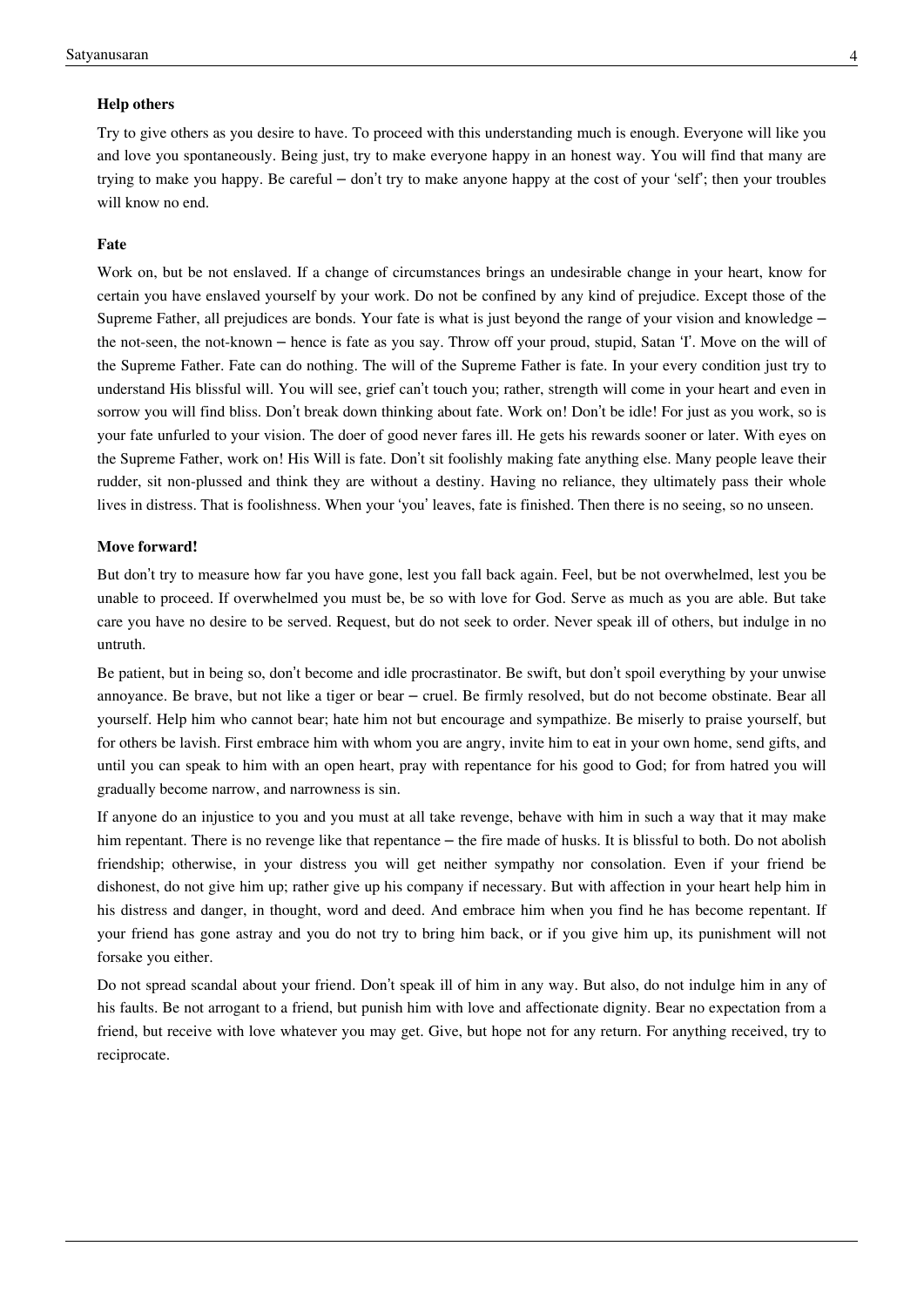# **Help others**

Try to give others as you desire to have. To proceed with this understanding much is enough. Everyone will like you and love you spontaneously. Being just, try to make everyone happy in an honest way. You will find that many are trying to make you happy. Be careful – don't try to make anyone happy at the cost of your 'self'; then your troubles will know no end.

# **Fate**

Work on, but be not enslaved. If a change of circumstances brings an undesirable change in your heart, know for certain you have enslaved yourself by your work. Do not be confined by any kind of prejudice. Except those of the Supreme Father, all prejudices are bonds. Your fate is what is just beyond the range of your vision and knowledge – the not-seen, the not-known – hence is fate as you say. Throw off your proud, stupid, Satan 'I'. Move on the will of the Supreme Father. Fate can do nothing. The will of the Supreme Father is fate. In your every condition just try to understand His blissful will. You will see, grief can't touch you; rather, strength will come in your heart and even in sorrow you will find bliss. Don't break down thinking about fate. Work on! Don't be idle! For just as you work, so is your fate unfurled to your vision. The doer of good never fares ill. He gets his rewards sooner or later. With eyes on the Supreme Father, work on! His Will is fate. Don't sit foolishly making fate anything else. Many people leave their rudder, sit non-plussed and think they are without a destiny. Having no reliance, they ultimately pass their whole lives in distress. That is foolishness. When your 'you' leaves, fate is finished. Then there is no seeing, so no unseen.

### **Move forward!**

But don't try to measure how far you have gone, lest you fall back again. Feel, but be not overwhelmed, lest you be unable to proceed. If overwhelmed you must be, be so with love for God. Serve as much as you are able. But take care you have no desire to be served. Request, but do not seek to order. Never speak ill of others, but indulge in no untruth.

Be patient, but in being so, don't become and idle procrastinator. Be swift, but don't spoil everything by your unwise annoyance. Be brave, but not like a tiger or bear – cruel. Be firmly resolved, but do not become obstinate. Bear all yourself. Help him who cannot bear; hate him not but encourage and sympathize. Be miserly to praise yourself, but for others be lavish. First embrace him with whom you are angry, invite him to eat in your own home, send gifts, and until you can speak to him with an open heart, pray with repentance for his good to God; for from hatred you will gradually become narrow, and narrowness is sin.

If anyone do an injustice to you and you must at all take revenge, behave with him in such a way that it may make him repentant. There is no revenge like that repentance – the fire made of husks. It is blissful to both. Do not abolish friendship; otherwise, in your distress you will get neither sympathy nor consolation. Even if your friend be dishonest, do not give him up; rather give up his company if necessary. But with affection in your heart help him in his distress and danger, in thought, word and deed. And embrace him when you find he has become repentant. If your friend has gone astray and you do not try to bring him back, or if you give him up, its punishment will not forsake you either.

Do not spread scandal about your friend. Don't speak ill of him in any way. But also, do not indulge him in any of his faults. Be not arrogant to a friend, but punish him with love and affectionate dignity. Bear no expectation from a friend, but receive with love whatever you may get. Give, but hope not for any return. For anything received, try to reciprocate.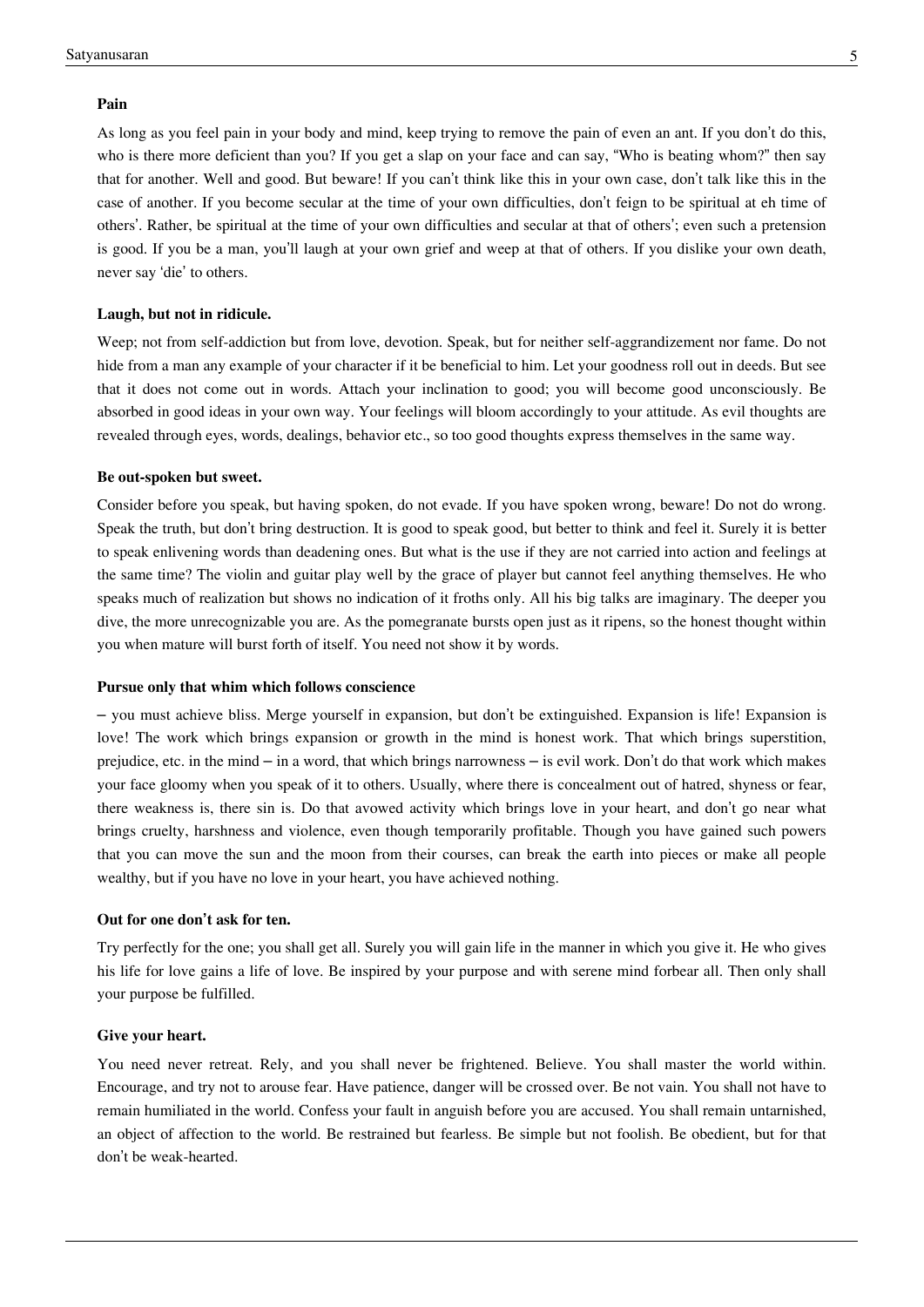# **Pain**

As long as you feel pain in your body and mind, keep trying to remove the pain of even an ant. If you don't do this, who is there more deficient than you? If you get a slap on your face and can say, "Who is beating whom?" then say that for another. Well and good. But beware! If you can't think like this in your own case, don't talk like this in the case of another. If you become secular at the time of your own difficulties, don't feign to be spiritual at eh time of others'. Rather, be spiritual at the time of your own difficulties and secular at that of others'; even such a pretension is good. If you be a man, you'll laugh at your own grief and weep at that of others. If you dislike your own death, never say 'die' to others.

# **Laugh, but not in ridicule.**

Weep; not from self-addiction but from love, devotion. Speak, but for neither self-aggrandizement nor fame. Do not hide from a man any example of your character if it be beneficial to him. Let your goodness roll out in deeds. But see that it does not come out in words. Attach your inclination to good; you will become good unconsciously. Be absorbed in good ideas in your own way. Your feelings will bloom accordingly to your attitude. As evil thoughts are revealed through eyes, words, dealings, behavior etc., so too good thoughts express themselves in the same way.

#### **Be out-spoken but sweet.**

Consider before you speak, but having spoken, do not evade. If you have spoken wrong, beware! Do not do wrong. Speak the truth, but don't bring destruction. It is good to speak good, but better to think and feel it. Surely it is better to speak enlivening words than deadening ones. But what is the use if they are not carried into action and feelings at the same time? The violin and guitar play well by the grace of player but cannot feel anything themselves. He who speaks much of realization but shows no indication of it froths only. All his big talks are imaginary. The deeper you dive, the more unrecognizable you are. As the pomegranate bursts open just as it ripens, so the honest thought within you when mature will burst forth of itself. You need not show it by words.

## **Pursue only that whim which follows conscience**

– you must achieve bliss. Merge yourself in expansion, but don't be extinguished. Expansion is life! Expansion is love! The work which brings expansion or growth in the mind is honest work. That which brings superstition, prejudice, etc. in the mind – in a word, that which brings narrowness – is evil work. Don't do that work which makes your face gloomy when you speak of it to others. Usually, where there is concealment out of hatred, shyness or fear, there weakness is, there sin is. Do that avowed activity which brings love in your heart, and don't go near what brings cruelty, harshness and violence, even though temporarily profitable. Though you have gained such powers that you can move the sun and the moon from their courses, can break the earth into pieces or make all people wealthy, but if you have no love in your heart, you have achieved nothing.

### **Out for one don't ask for ten.**

Try perfectly for the one; you shall get all. Surely you will gain life in the manner in which you give it. He who gives his life for love gains a life of love. Be inspired by your purpose and with serene mind forbear all. Then only shall your purpose be fulfilled.

#### **Give your heart.**

You need never retreat. Rely, and you shall never be frightened. Believe. You shall master the world within. Encourage, and try not to arouse fear. Have patience, danger will be crossed over. Be not vain. You shall not have to remain humiliated in the world. Confess your fault in anguish before you are accused. You shall remain untarnished, an object of affection to the world. Be restrained but fearless. Be simple but not foolish. Be obedient, but for that don't be weak-hearted.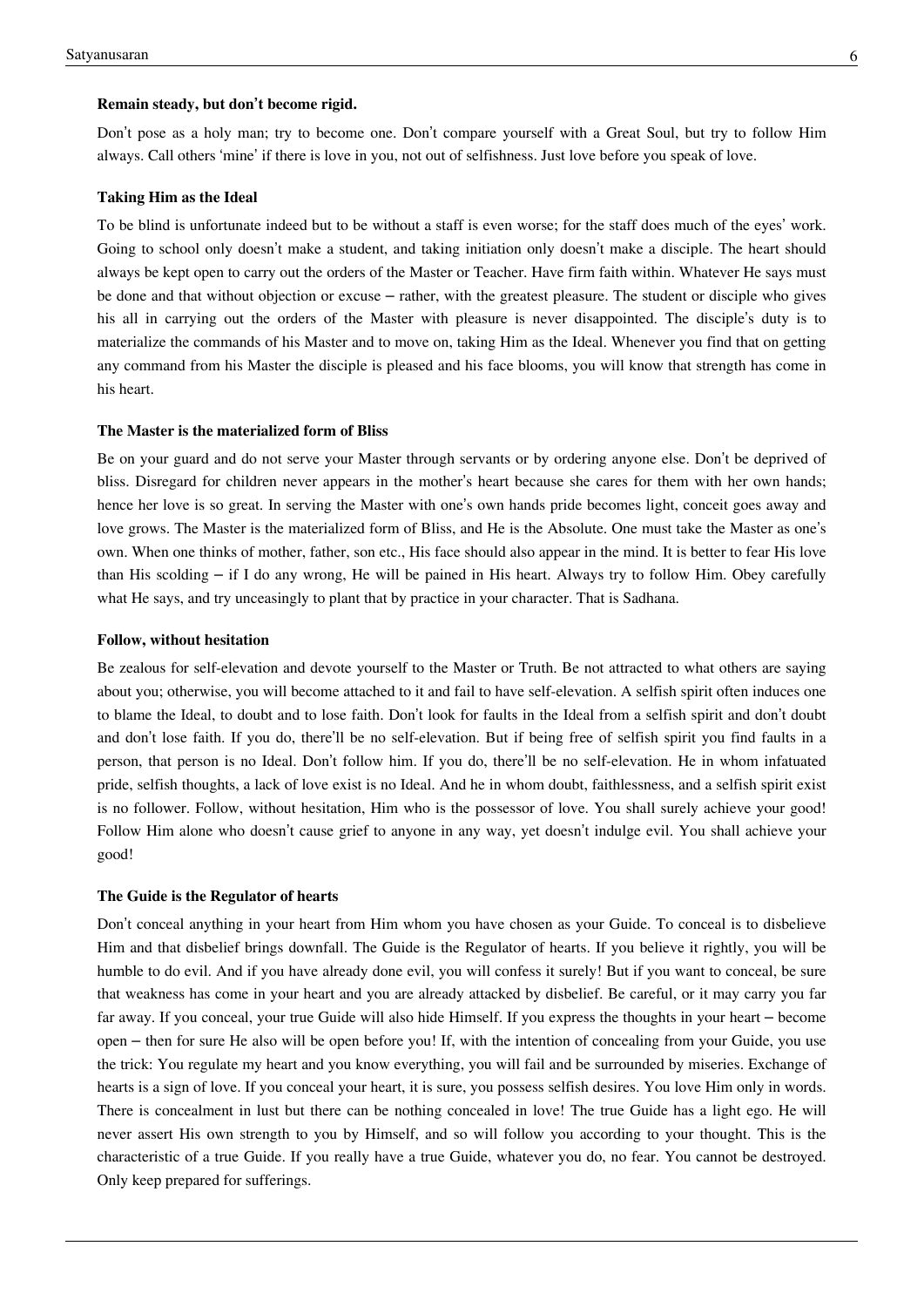## **Remain steady, but don't become rigid.**

Don't pose as a holy man; try to become one. Don't compare yourself with a Great Soul, but try to follow Him always. Call others 'mine' if there is love in you, not out of selfishness. Just love before you speak of love.

## **Taking Him as the Ideal**

To be blind is unfortunate indeed but to be without a staff is even worse; for the staff does much of the eyes' work. Going to school only doesn't make a student, and taking initiation only doesn't make a disciple. The heart should always be kept open to carry out the orders of the Master or Teacher. Have firm faith within. Whatever He says must be done and that without objection or excuse – rather, with the greatest pleasure. The student or disciple who gives his all in carrying out the orders of the Master with pleasure is never disappointed. The disciple's duty is to materialize the commands of his Master and to move on, taking Him as the Ideal. Whenever you find that on getting any command from his Master the disciple is pleased and his face blooms, you will know that strength has come in his heart.

#### **The Master is the materialized form of Bliss**

Be on your guard and do not serve your Master through servants or by ordering anyone else. Don't be deprived of bliss. Disregard for children never appears in the mother's heart because she cares for them with her own hands; hence her love is so great. In serving the Master with one's own hands pride becomes light, conceit goes away and love grows. The Master is the materialized form of Bliss, and He is the Absolute. One must take the Master as one's own. When one thinks of mother, father, son etc., His face should also appear in the mind. It is better to fear His love than His scolding – if I do any wrong, He will be pained in His heart. Always try to follow Him. Obey carefully what He says, and try unceasingly to plant that by practice in your character. That is Sadhana.

### **Follow, without hesitation**

Be zealous for self-elevation and devote yourself to the Master or Truth. Be not attracted to what others are saying about you; otherwise, you will become attached to it and fail to have self-elevation. A selfish spirit often induces one to blame the Ideal, to doubt and to lose faith. Don't look for faults in the Ideal from a selfish spirit and don't doubt and don't lose faith. If you do, there'll be no self-elevation. But if being free of selfish spirit you find faults in a person, that person is no Ideal. Don't follow him. If you do, there'll be no self-elevation. He in whom infatuated pride, selfish thoughts, a lack of love exist is no Ideal. And he in whom doubt, faithlessness, and a selfish spirit exist is no follower. Follow, without hesitation, Him who is the possessor of love. You shall surely achieve your good! Follow Him alone who doesn't cause grief to anyone in any way, yet doesn't indulge evil. You shall achieve your good!

## **The Guide is the Regulator of hearts**

Don't conceal anything in your heart from Him whom you have chosen as your Guide. To conceal is to disbelieve Him and that disbelief brings downfall. The Guide is the Regulator of hearts. If you believe it rightly, you will be humble to do evil. And if you have already done evil, you will confess it surely! But if you want to conceal, be sure that weakness has come in your heart and you are already attacked by disbelief. Be careful, or it may carry you far far away. If you conceal, your true Guide will also hide Himself. If you express the thoughts in your heart – become open – then for sure He also will be open before you! If, with the intention of concealing from your Guide, you use the trick: You regulate my heart and you know everything, you will fail and be surrounded by miseries. Exchange of hearts is a sign of love. If you conceal your heart, it is sure, you possess selfish desires. You love Him only in words. There is concealment in lust but there can be nothing concealed in love! The true Guide has a light ego. He will never assert His own strength to you by Himself, and so will follow you according to your thought. This is the characteristic of a true Guide. If you really have a true Guide, whatever you do, no fear. You cannot be destroyed. Only keep prepared for sufferings.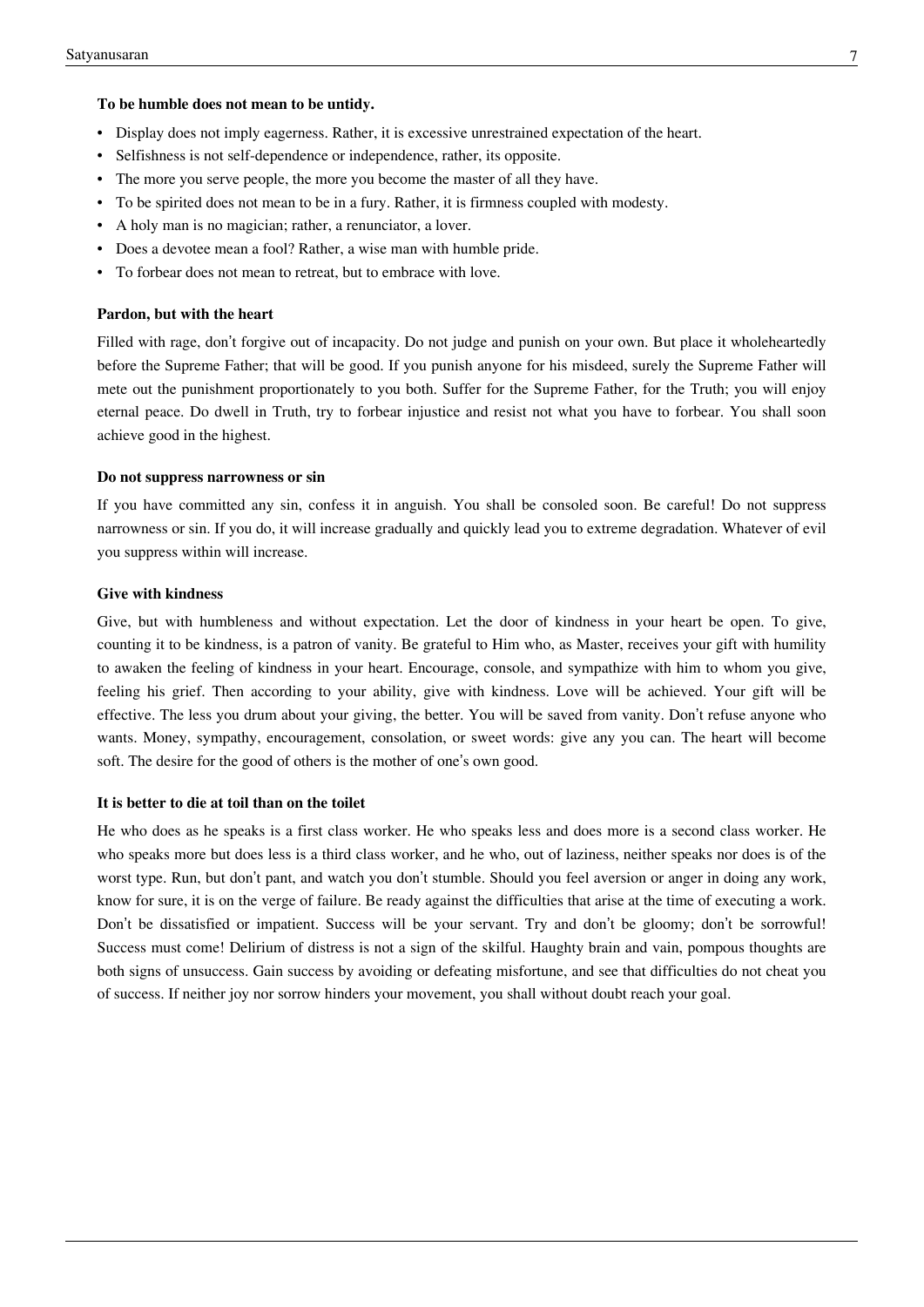# **To be humble does not mean to be untidy.**

- Display does not imply eagerness. Rather, it is excessive unrestrained expectation of the heart.
- Selfishness is not self-dependence or independence, rather, its opposite.
- The more you serve people, the more you become the master of all they have.
- To be spirited does not mean to be in a fury. Rather, it is firmness coupled with modesty.
- A holy man is no magician; rather, a renunciator, a lover.
- Does a devotee mean a fool? Rather, a wise man with humble pride.
- To forbear does not mean to retreat, but to embrace with love.

# **Pardon, but with the heart**

Filled with rage, don't forgive out of incapacity. Do not judge and punish on your own. But place it wholeheartedly before the Supreme Father; that will be good. If you punish anyone for his misdeed, surely the Supreme Father will mete out the punishment proportionately to you both. Suffer for the Supreme Father, for the Truth; you will enjoy eternal peace. Do dwell in Truth, try to forbear injustice and resist not what you have to forbear. You shall soon achieve good in the highest.

#### **Do not suppress narrowness or sin**

If you have committed any sin, confess it in anguish. You shall be consoled soon. Be careful! Do not suppress narrowness or sin. If you do, it will increase gradually and quickly lead you to extreme degradation. Whatever of evil you suppress within will increase.

# **Give with kindness**

Give, but with humbleness and without expectation. Let the door of kindness in your heart be open. To give, counting it to be kindness, is a patron of vanity. Be grateful to Him who, as Master, receives your gift with humility to awaken the feeling of kindness in your heart. Encourage, console, and sympathize with him to whom you give, feeling his grief. Then according to your ability, give with kindness. Love will be achieved. Your gift will be effective. The less you drum about your giving, the better. You will be saved from vanity. Don't refuse anyone who wants. Money, sympathy, encouragement, consolation, or sweet words: give any you can. The heart will become soft. The desire for the good of others is the mother of one's own good.

## **It is better to die at toil than on the toilet**

He who does as he speaks is a first class worker. He who speaks less and does more is a second class worker. He who speaks more but does less is a third class worker, and he who, out of laziness, neither speaks nor does is of the worst type. Run, but don't pant, and watch you don't stumble. Should you feel aversion or anger in doing any work, know for sure, it is on the verge of failure. Be ready against the difficulties that arise at the time of executing a work. Don't be dissatisfied or impatient. Success will be your servant. Try and don't be gloomy; don't be sorrowful! Success must come! Delirium of distress is not a sign of the skilful. Haughty brain and vain, pompous thoughts are both signs of unsuccess. Gain success by avoiding or defeating misfortune, and see that difficulties do not cheat you of success. If neither joy nor sorrow hinders your movement, you shall without doubt reach your goal.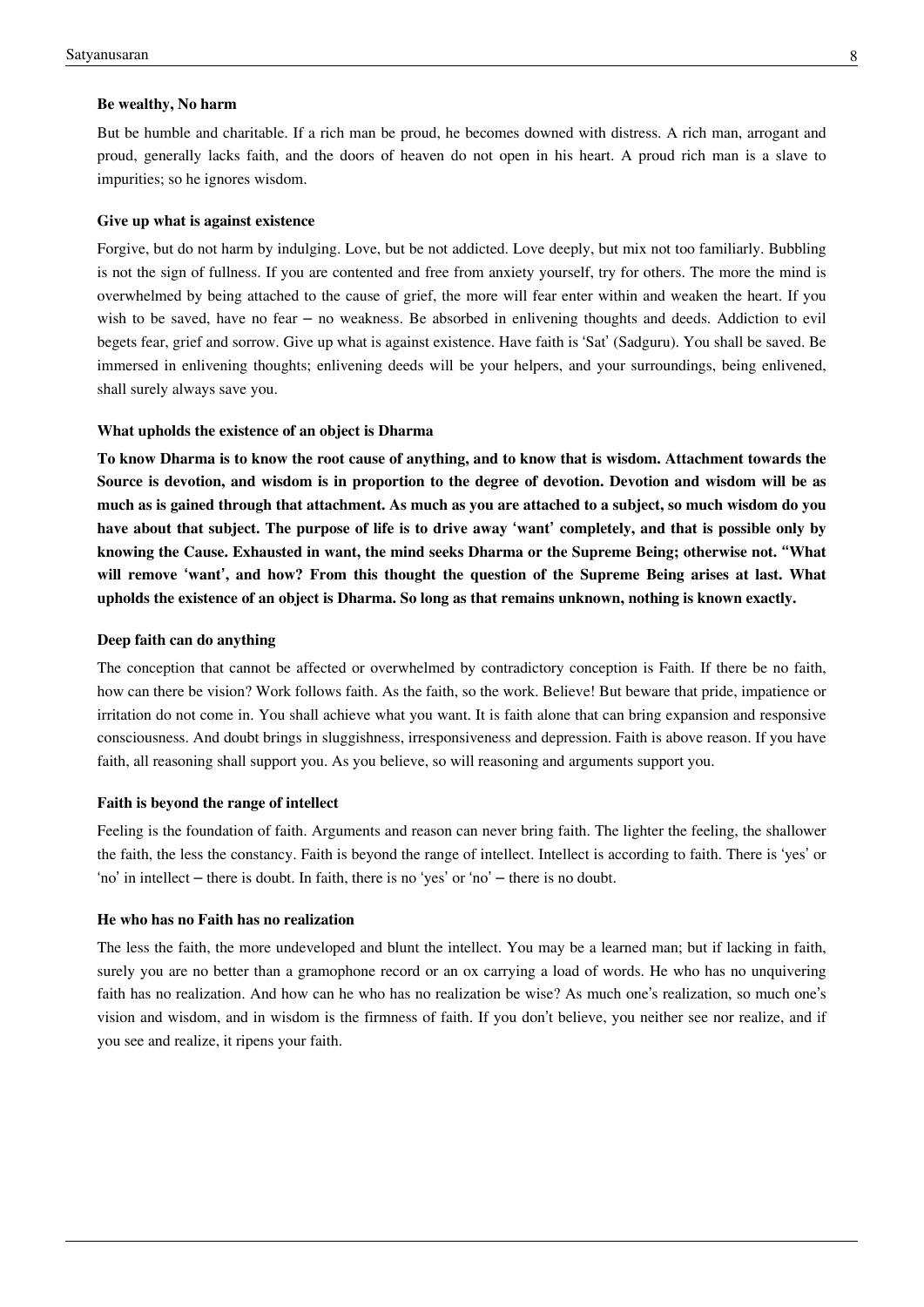## **Be wealthy, No harm**

But be humble and charitable. If a rich man be proud, he becomes downed with distress. A rich man, arrogant and proud, generally lacks faith, and the doors of heaven do not open in his heart. A proud rich man is a slave to impurities; so he ignores wisdom.

# **Give up what is against existence**

Forgive, but do not harm by indulging. Love, but be not addicted. Love deeply, but mix not too familiarly. Bubbling is not the sign of fullness. If you are contented and free from anxiety yourself, try for others. The more the mind is overwhelmed by being attached to the cause of grief, the more will fear enter within and weaken the heart. If you wish to be saved, have no fear – no weakness. Be absorbed in enlivening thoughts and deeds. Addiction to evil begets fear, grief and sorrow. Give up what is against existence. Have faith is 'Sat' (Sadguru). You shall be saved. Be immersed in enlivening thoughts; enlivening deeds will be your helpers, and your surroundings, being enlivened, shall surely always save you.

#### **What upholds the existence of an object is Dharma**

**To know Dharma is to know the root cause of anything, and to know that is wisdom. Attachment towards the Source is devotion, and wisdom is in proportion to the degree of devotion. Devotion and wisdom will be as much as is gained through that attachment. As much as you are attached to a subject, so much wisdom do you have about that subject. The purpose of life is to drive away 'want' completely, and that is possible only by knowing the Cause. Exhausted in want, the mind seeks Dharma or the Supreme Being; otherwise not. "What will remove 'want', and how? From this thought the question of the Supreme Being arises at last. What upholds the existence of an object is Dharma. So long as that remains unknown, nothing is known exactly.**

### **Deep faith can do anything**

The conception that cannot be affected or overwhelmed by contradictory conception is Faith. If there be no faith, how can there be vision? Work follows faith. As the faith, so the work. Believe! But beware that pride, impatience or irritation do not come in. You shall achieve what you want. It is faith alone that can bring expansion and responsive consciousness. And doubt brings in sluggishness, irresponsiveness and depression. Faith is above reason. If you have faith, all reasoning shall support you. As you believe, so will reasoning and arguments support you.

#### **Faith is beyond the range of intellect**

Feeling is the foundation of faith. Arguments and reason can never bring faith. The lighter the feeling, the shallower the faith, the less the constancy. Faith is beyond the range of intellect. Intellect is according to faith. There is 'yes' or 'no' in intellect – there is doubt. In faith, there is no 'yes' or 'no' – there is no doubt.

### **He who has no Faith has no realization**

The less the faith, the more undeveloped and blunt the intellect. You may be a learned man; but if lacking in faith, surely you are no better than a gramophone record or an ox carrying a load of words. He who has no unquivering faith has no realization. And how can he who has no realization be wise? As much one's realization, so much one's vision and wisdom, and in wisdom is the firmness of faith. If you don't believe, you neither see nor realize, and if you see and realize, it ripens your faith.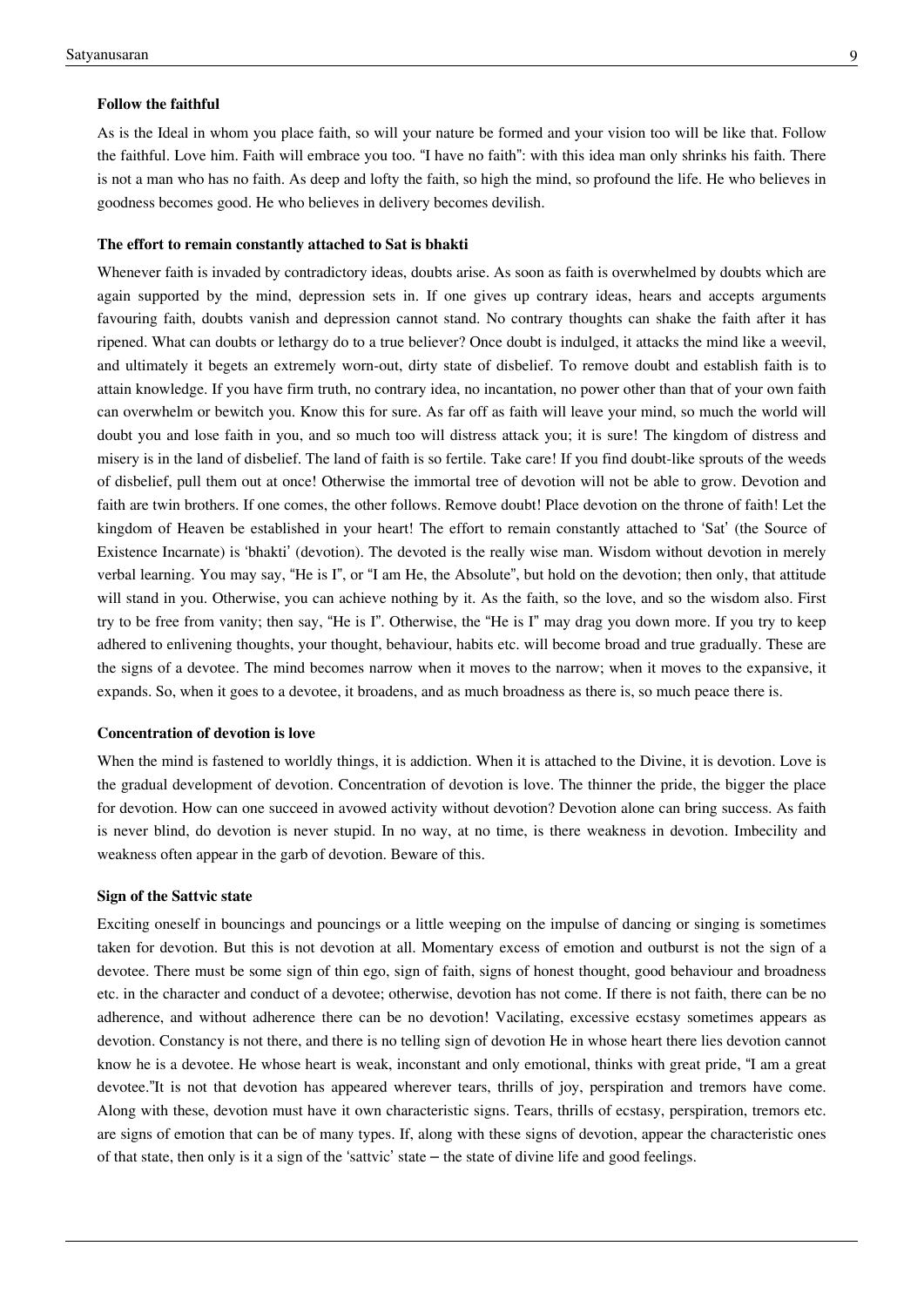## **Follow the faithful**

As is the Ideal in whom you place faith, so will your nature be formed and your vision too will be like that. Follow the faithful. Love him. Faith will embrace you too. "I have no faith": with this idea man only shrinks his faith. There is not a man who has no faith. As deep and lofty the faith, so high the mind, so profound the life. He who believes in goodness becomes good. He who believes in delivery becomes devilish.

#### **The effort to remain constantly attached to Sat is bhakti**

Whenever faith is invaded by contradictory ideas, doubts arise. As soon as faith is overwhelmed by doubts which are again supported by the mind, depression sets in. If one gives up contrary ideas, hears and accepts arguments favouring faith, doubts vanish and depression cannot stand. No contrary thoughts can shake the faith after it has ripened. What can doubts or lethargy do to a true believer? Once doubt is indulged, it attacks the mind like a weevil, and ultimately it begets an extremely worn-out, dirty state of disbelief. To remove doubt and establish faith is to attain knowledge. If you have firm truth, no contrary idea, no incantation, no power other than that of your own faith can overwhelm or bewitch you. Know this for sure. As far off as faith will leave your mind, so much the world will doubt you and lose faith in you, and so much too will distress attack you; it is sure! The kingdom of distress and misery is in the land of disbelief. The land of faith is so fertile. Take care! If you find doubt-like sprouts of the weeds of disbelief, pull them out at once! Otherwise the immortal tree of devotion will not be able to grow. Devotion and faith are twin brothers. If one comes, the other follows. Remove doubt! Place devotion on the throne of faith! Let the kingdom of Heaven be established in your heart! The effort to remain constantly attached to 'Sat' (the Source of Existence Incarnate) is 'bhakti' (devotion). The devoted is the really wise man. Wisdom without devotion in merely verbal learning. You may say, "He is I", or "I am He, the Absolute", but hold on the devotion; then only, that attitude will stand in you. Otherwise, you can achieve nothing by it. As the faith, so the love, and so the wisdom also. First try to be free from vanity; then say, "He is I". Otherwise, the "He is I" may drag you down more. If you try to keep adhered to enlivening thoughts, your thought, behaviour, habits etc. will become broad and true gradually. These are the signs of a devotee. The mind becomes narrow when it moves to the narrow; when it moves to the expansive, it expands. So, when it goes to a devotee, it broadens, and as much broadness as there is, so much peace there is.

# **Concentration of devotion is love**

When the mind is fastened to worldly things, it is addiction. When it is attached to the Divine, it is devotion. Love is the gradual development of devotion. Concentration of devotion is love. The thinner the pride, the bigger the place for devotion. How can one succeed in avowed activity without devotion? Devotion alone can bring success. As faith is never blind, do devotion is never stupid. In no way, at no time, is there weakness in devotion. Imbecility and weakness often appear in the garb of devotion. Beware of this.

## **Sign of the Sattvic state**

Exciting oneself in bouncings and pouncings or a little weeping on the impulse of dancing or singing is sometimes taken for devotion. But this is not devotion at all. Momentary excess of emotion and outburst is not the sign of a devotee. There must be some sign of thin ego, sign of faith, signs of honest thought, good behaviour and broadness etc. in the character and conduct of a devotee; otherwise, devotion has not come. If there is not faith, there can be no adherence, and without adherence there can be no devotion! Vacilating, excessive ecstasy sometimes appears as devotion. Constancy is not there, and there is no telling sign of devotion He in whose heart there lies devotion cannot know he is a devotee. He whose heart is weak, inconstant and only emotional, thinks with great pride, "I am a great devotee."It is not that devotion has appeared wherever tears, thrills of joy, perspiration and tremors have come. Along with these, devotion must have it own characteristic signs. Tears, thrills of ecstasy, perspiration, tremors etc. are signs of emotion that can be of many types. If, along with these signs of devotion, appear the characteristic ones of that state, then only is it a sign of the 'sattvic' state – the state of divine life and good feelings.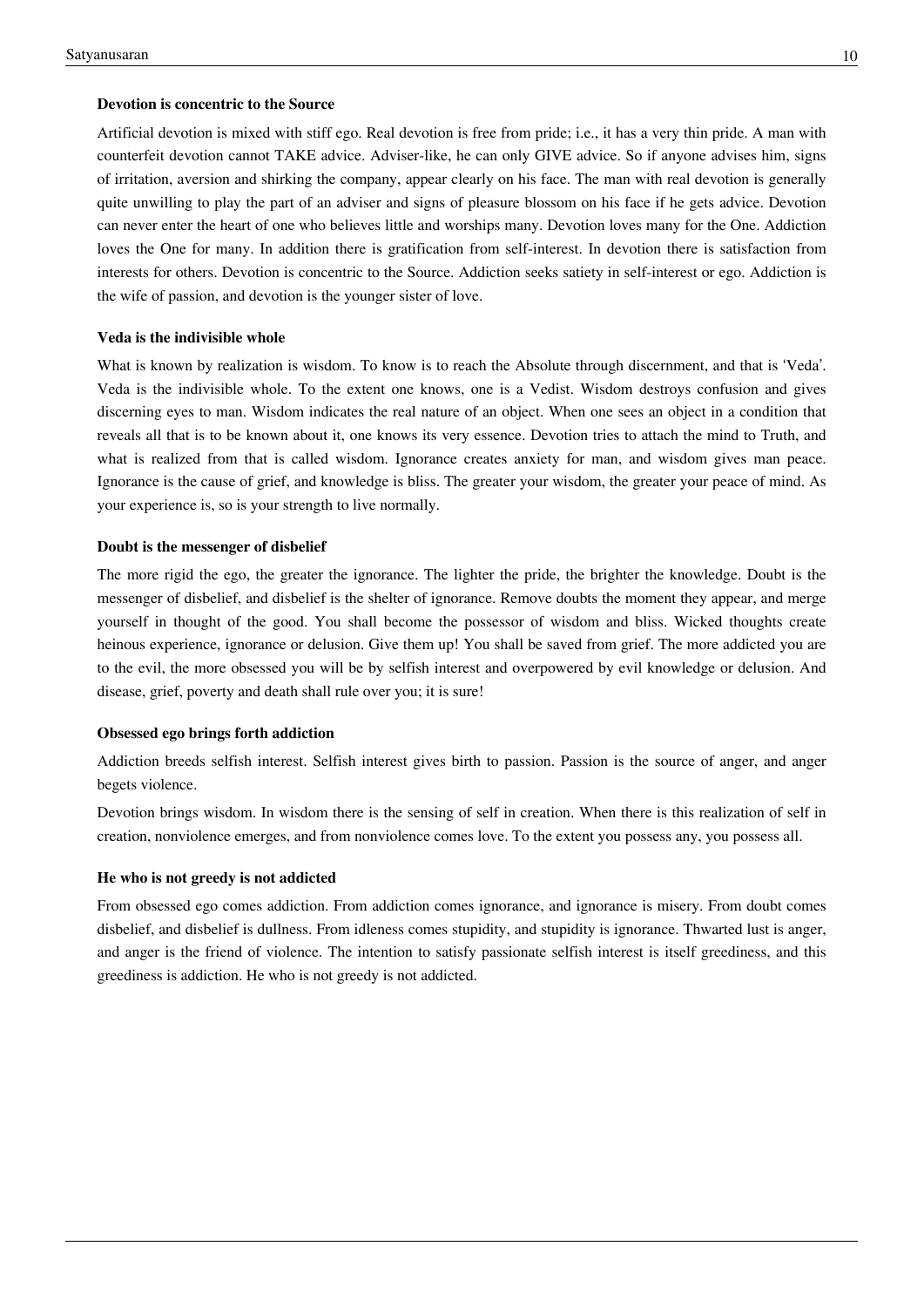## **Devotion is concentric to the Source**

Artificial devotion is mixed with stiff ego. Real devotion is free from pride; i.e., it has a very thin pride. A man with counterfeit devotion cannot TAKE advice. Adviser-like, he can only GIVE advice. So if anyone advises him, signs of irritation, aversion and shirking the company, appear clearly on his face. The man with real devotion is generally quite unwilling to play the part of an adviser and signs of pleasure blossom on his face if he gets advice. Devotion can never enter the heart of one who believes little and worships many. Devotion loves many for the One. Addiction loves the One for many. In addition there is gratification from self-interest. In devotion there is satisfaction from interests for others. Devotion is concentric to the Source. Addiction seeks satiety in self-interest or ego. Addiction is the wife of passion, and devotion is the younger sister of love.

## **Veda is the indivisible whole**

What is known by realization is wisdom. To know is to reach the Absolute through discernment, and that is 'Veda'. Veda is the indivisible whole. To the extent one knows, one is a Vedist. Wisdom destroys confusion and gives discerning eyes to man. Wisdom indicates the real nature of an object. When one sees an object in a condition that reveals all that is to be known about it, one knows its very essence. Devotion tries to attach the mind to Truth, and what is realized from that is called wisdom. Ignorance creates anxiety for man, and wisdom gives man peace. Ignorance is the cause of grief, and knowledge is bliss. The greater your wisdom, the greater your peace of mind. As your experience is, so is your strength to live normally.

### **Doubt is the messenger of disbelief**

The more rigid the ego, the greater the ignorance. The lighter the pride, the brighter the knowledge. Doubt is the messenger of disbelief, and disbelief is the shelter of ignorance. Remove doubts the moment they appear, and merge yourself in thought of the good. You shall become the possessor of wisdom and bliss. Wicked thoughts create heinous experience, ignorance or delusion. Give them up! You shall be saved from grief. The more addicted you are to the evil, the more obsessed you will be by selfish interest and overpowered by evil knowledge or delusion. And disease, grief, poverty and death shall rule over you; it is sure!

#### **Obsessed ego brings forth addiction**

Addiction breeds selfish interest. Selfish interest gives birth to passion. Passion is the source of anger, and anger begets violence.

Devotion brings wisdom. In wisdom there is the sensing of self in creation. When there is this realization of self in creation, nonviolence emerges, and from nonviolence comes love. To the extent you possess any, you possess all.

#### **He who is not greedy is not addicted**

From obsessed ego comes addiction. From addiction comes ignorance, and ignorance is misery. From doubt comes disbelief, and disbelief is dullness. From idleness comes stupidity, and stupidity is ignorance. Thwarted lust is anger, and anger is the friend of violence. The intention to satisfy passionate selfish interest is itself greediness, and this greediness is addiction. He who is not greedy is not addicted.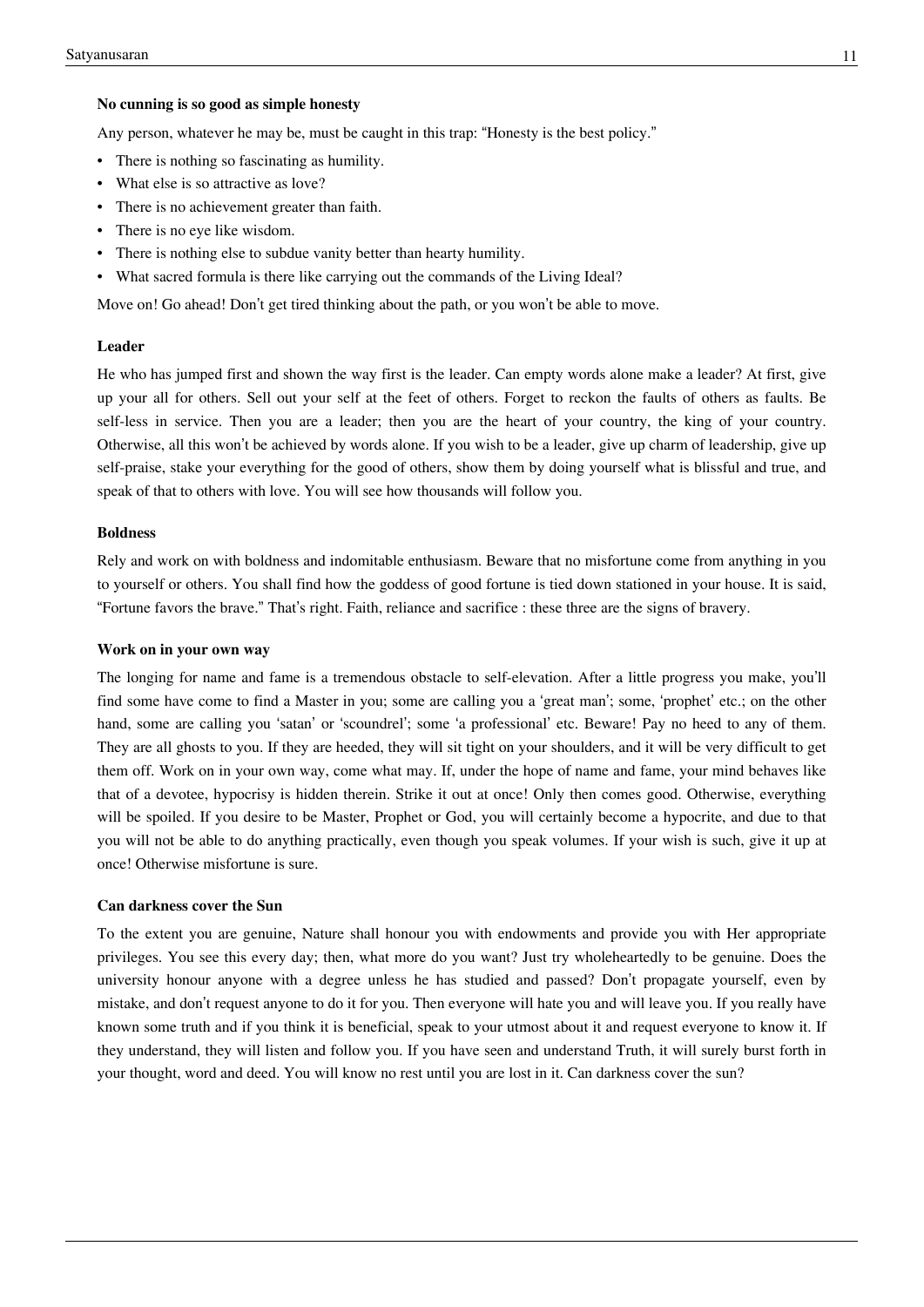## **No cunning is so good as simple honesty**

Any person, whatever he may be, must be caught in this trap: "Honesty is the best policy."

- There is nothing so fascinating as humility.
- What else is so attractive as love?
- There is no achievement greater than faith.
- There is no eye like wisdom.
- There is nothing else to subdue vanity better than hearty humility.
- What sacred formula is there like carrying out the commands of the Living Ideal?

Move on! Go ahead! Don't get tired thinking about the path, or you won't be able to move.

# **Leader**

He who has jumped first and shown the way first is the leader. Can empty words alone make a leader? At first, give up your all for others. Sell out your self at the feet of others. Forget to reckon the faults of others as faults. Be self-less in service. Then you are a leader; then you are the heart of your country, the king of your country. Otherwise, all this won't be achieved by words alone. If you wish to be a leader, give up charm of leadership, give up self-praise, stake your everything for the good of others, show them by doing yourself what is blissful and true, and speak of that to others with love. You will see how thousands will follow you.

# **Boldness**

Rely and work on with boldness and indomitable enthusiasm. Beware that no misfortune come from anything in you to yourself or others. You shall find how the goddess of good fortune is tied down stationed in your house. It is said, "Fortune favors the brave." That's right. Faith, reliance and sacrifice : these three are the signs of bravery.

# **Work on in your own way**

The longing for name and fame is a tremendous obstacle to self-elevation. After a little progress you make, you'll find some have come to find a Master in you; some are calling you a 'great man'; some, 'prophet' etc.; on the other hand, some are calling you 'satan' or 'scoundrel'; some 'a professional' etc. Beware! Pay no heed to any of them. They are all ghosts to you. If they are heeded, they will sit tight on your shoulders, and it will be very difficult to get them off. Work on in your own way, come what may. If, under the hope of name and fame, your mind behaves like that of a devotee, hypocrisy is hidden therein. Strike it out at once! Only then comes good. Otherwise, everything will be spoiled. If you desire to be Master, Prophet or God, you will certainly become a hypocrite, and due to that you will not be able to do anything practically, even though you speak volumes. If your wish is such, give it up at once! Otherwise misfortune is sure.

# **Can darkness cover the Sun**

To the extent you are genuine, Nature shall honour you with endowments and provide you with Her appropriate privileges. You see this every day; then, what more do you want? Just try wholeheartedly to be genuine. Does the university honour anyone with a degree unless he has studied and passed? Don't propagate yourself, even by mistake, and don't request anyone to do it for you. Then everyone will hate you and will leave you. If you really have known some truth and if you think it is beneficial, speak to your utmost about it and request everyone to know it. If they understand, they will listen and follow you. If you have seen and understand Truth, it will surely burst forth in your thought, word and deed. You will know no rest until you are lost in it. Can darkness cover the sun?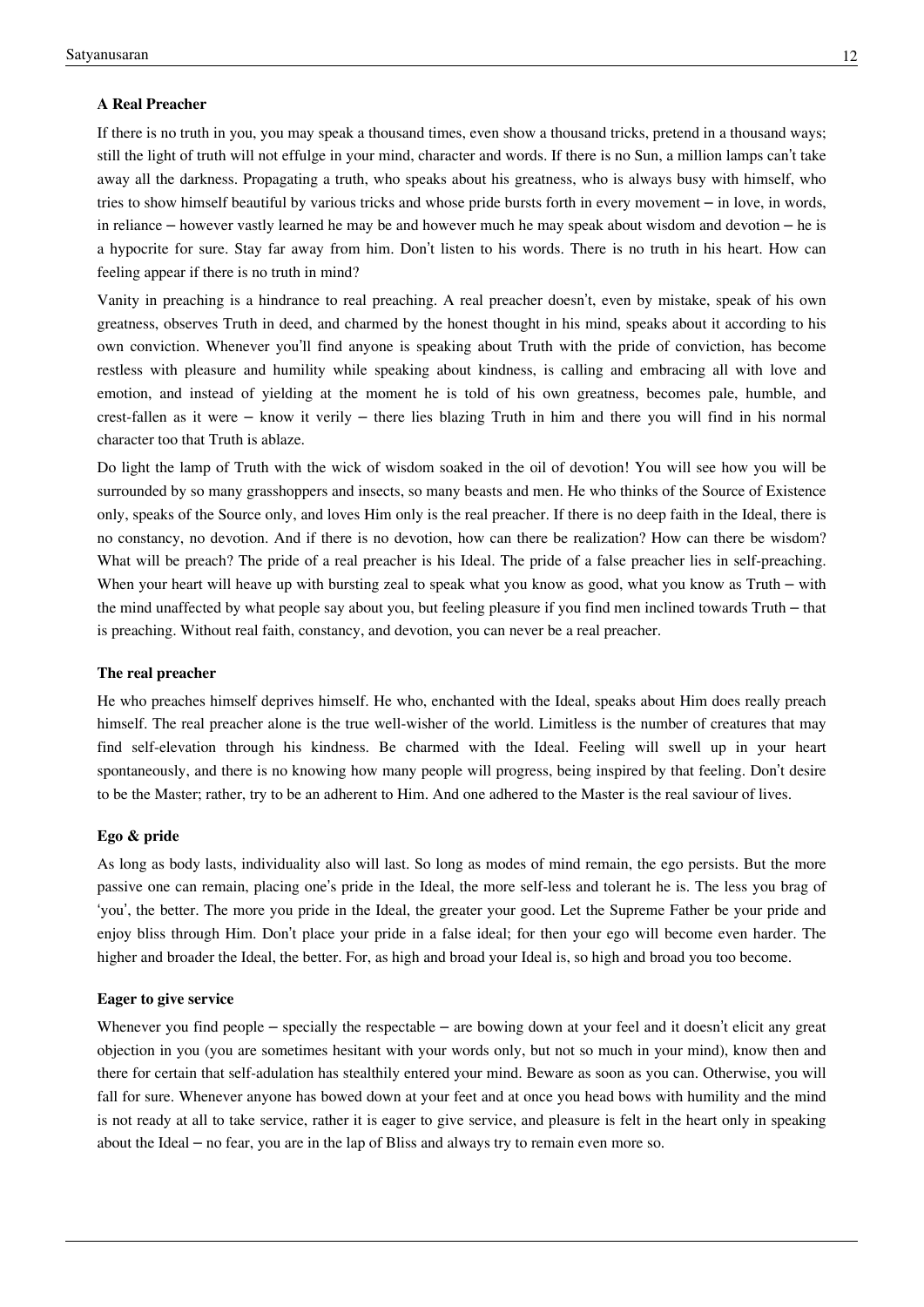# **A Real Preacher**

If there is no truth in you, you may speak a thousand times, even show a thousand tricks, pretend in a thousand ways; still the light of truth will not effulge in your mind, character and words. If there is no Sun, a million lamps can't take away all the darkness. Propagating a truth, who speaks about his greatness, who is always busy with himself, who tries to show himself beautiful by various tricks and whose pride bursts forth in every movement – in love, in words, in reliance – however vastly learned he may be and however much he may speak about wisdom and devotion – he is a hypocrite for sure. Stay far away from him. Don't listen to his words. There is no truth in his heart. How can feeling appear if there is no truth in mind?

Vanity in preaching is a hindrance to real preaching. A real preacher doesn't, even by mistake, speak of his own greatness, observes Truth in deed, and charmed by the honest thought in his mind, speaks about it according to his own conviction. Whenever you'll find anyone is speaking about Truth with the pride of conviction, has become restless with pleasure and humility while speaking about kindness, is calling and embracing all with love and emotion, and instead of yielding at the moment he is told of his own greatness, becomes pale, humble, and crest-fallen as it were – know it verily – there lies blazing Truth in him and there you will find in his normal character too that Truth is ablaze.

Do light the lamp of Truth with the wick of wisdom soaked in the oil of devotion! You will see how you will be surrounded by so many grasshoppers and insects, so many beasts and men. He who thinks of the Source of Existence only, speaks of the Source only, and loves Him only is the real preacher. If there is no deep faith in the Ideal, there is no constancy, no devotion. And if there is no devotion, how can there be realization? How can there be wisdom? What will be preach? The pride of a real preacher is his Ideal. The pride of a false preacher lies in self-preaching. When your heart will heave up with bursting zeal to speak what you know as good, what you know as Truth – with the mind unaffected by what people say about you, but feeling pleasure if you find men inclined towards Truth – that is preaching. Without real faith, constancy, and devotion, you can never be a real preacher.

#### **The real preacher**

He who preaches himself deprives himself. He who, enchanted with the Ideal, speaks about Him does really preach himself. The real preacher alone is the true well-wisher of the world. Limitless is the number of creatures that may find self-elevation through his kindness. Be charmed with the Ideal. Feeling will swell up in your heart spontaneously, and there is no knowing how many people will progress, being inspired by that feeling. Don't desire to be the Master; rather, try to be an adherent to Him. And one adhered to the Master is the real saviour of lives.

# **Ego & pride**

As long as body lasts, individuality also will last. So long as modes of mind remain, the ego persists. But the more passive one can remain, placing one's pride in the Ideal, the more self-less and tolerant he is. The less you brag of 'you', the better. The more you pride in the Ideal, the greater your good. Let the Supreme Father be your pride and enjoy bliss through Him. Don't place your pride in a false ideal; for then your ego will become even harder. The higher and broader the Ideal, the better. For, as high and broad your Ideal is, so high and broad you too become.

#### **Eager to give service**

Whenever you find people – specially the respectable – are bowing down at your feel and it doesn't elicit any great objection in you (you are sometimes hesitant with your words only, but not so much in your mind), know then and there for certain that self-adulation has stealthily entered your mind. Beware as soon as you can. Otherwise, you will fall for sure. Whenever anyone has bowed down at your feet and at once you head bows with humility and the mind is not ready at all to take service, rather it is eager to give service, and pleasure is felt in the heart only in speaking about the Ideal – no fear, you are in the lap of Bliss and always try to remain even more so.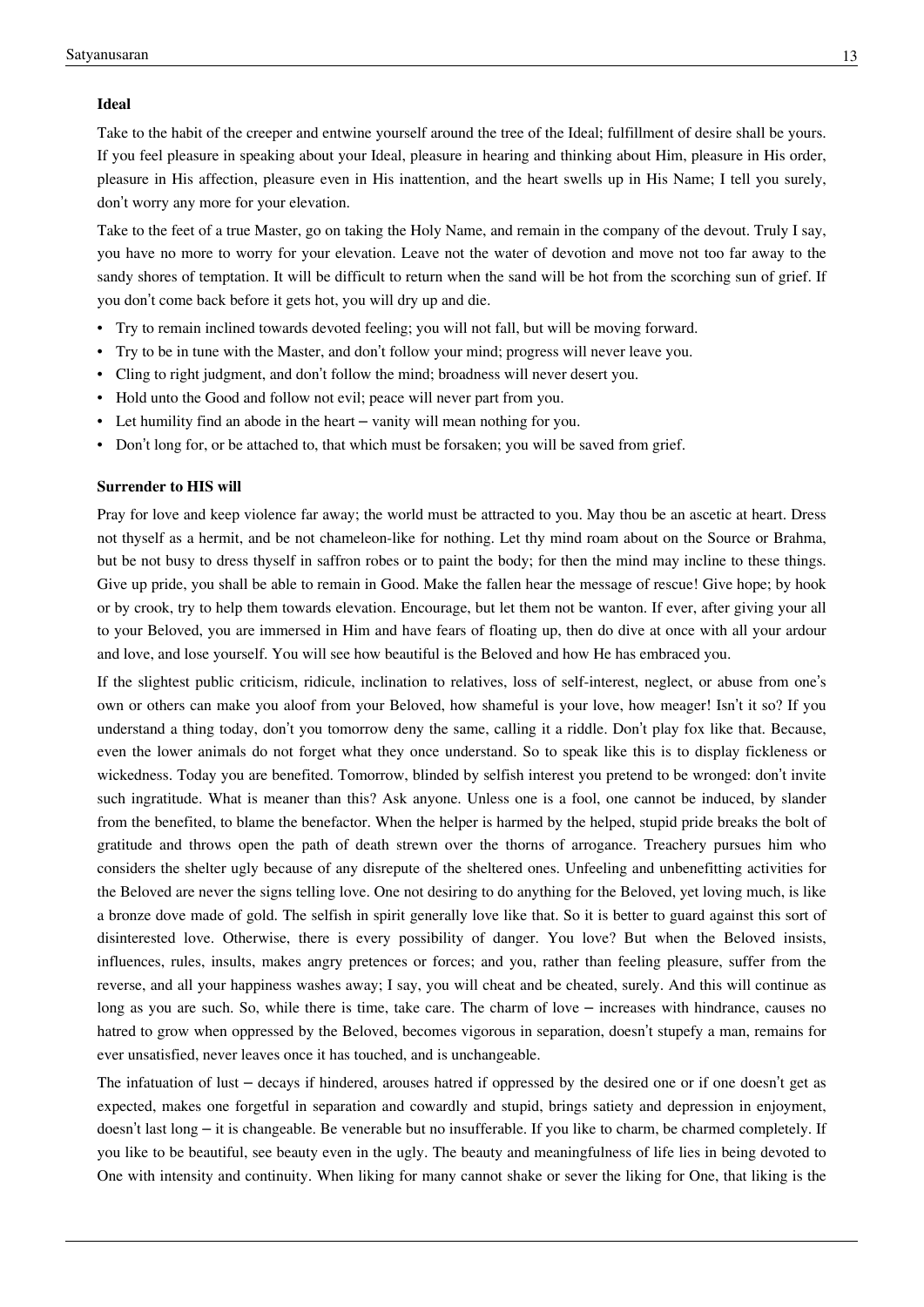# **Ideal**

Take to the habit of the creeper and entwine yourself around the tree of the Ideal; fulfillment of desire shall be yours. If you feel pleasure in speaking about your Ideal, pleasure in hearing and thinking about Him, pleasure in His order, pleasure in His affection, pleasure even in His inattention, and the heart swells up in His Name; I tell you surely, don't worry any more for your elevation.

Take to the feet of a true Master, go on taking the Holy Name, and remain in the company of the devout. Truly I say, you have no more to worry for your elevation. Leave not the water of devotion and move not too far away to the sandy shores of temptation. It will be difficult to return when the sand will be hot from the scorching sun of grief. If you don't come back before it gets hot, you will dry up and die.

- Try to remain inclined towards devoted feeling; you will not fall, but will be moving forward.
- Try to be in tune with the Master, and don't follow your mind; progress will never leave you.
- Cling to right judgment, and don't follow the mind; broadness will never desert you.
- Hold unto the Good and follow not evil; peace will never part from you.
- Let humility find an abode in the heart vanity will mean nothing for you.
- Don't long for, or be attached to, that which must be forsaken; you will be saved from grief.

# **Surrender to HIS will**

Pray for love and keep violence far away; the world must be attracted to you. May thou be an ascetic at heart. Dress not thyself as a hermit, and be not chameleon-like for nothing. Let thy mind roam about on the Source or Brahma, but be not busy to dress thyself in saffron robes or to paint the body; for then the mind may incline to these things. Give up pride, you shall be able to remain in Good. Make the fallen hear the message of rescue! Give hope; by hook or by crook, try to help them towards elevation. Encourage, but let them not be wanton. If ever, after giving your all to your Beloved, you are immersed in Him and have fears of floating up, then do dive at once with all your ardour and love, and lose yourself. You will see how beautiful is the Beloved and how He has embraced you.

If the slightest public criticism, ridicule, inclination to relatives, loss of self-interest, neglect, or abuse from one's own or others can make you aloof from your Beloved, how shameful is your love, how meager! Isn't it so? If you understand a thing today, don't you tomorrow deny the same, calling it a riddle. Don't play fox like that. Because, even the lower animals do not forget what they once understand. So to speak like this is to display fickleness or wickedness. Today you are benefited. Tomorrow, blinded by selfish interest you pretend to be wronged: don't invite such ingratitude. What is meaner than this? Ask anyone. Unless one is a fool, one cannot be induced, by slander from the benefited, to blame the benefactor. When the helper is harmed by the helped, stupid pride breaks the bolt of gratitude and throws open the path of death strewn over the thorns of arrogance. Treachery pursues him who considers the shelter ugly because of any disrepute of the sheltered ones. Unfeeling and unbenefitting activities for the Beloved are never the signs telling love. One not desiring to do anything for the Beloved, yet loving much, is like a bronze dove made of gold. The selfish in spirit generally love like that. So it is better to guard against this sort of disinterested love. Otherwise, there is every possibility of danger. You love? But when the Beloved insists, influences, rules, insults, makes angry pretences or forces; and you, rather than feeling pleasure, suffer from the reverse, and all your happiness washes away; I say, you will cheat and be cheated, surely. And this will continue as long as you are such. So, while there is time, take care. The charm of love – increases with hindrance, causes no hatred to grow when oppressed by the Beloved, becomes vigorous in separation, doesn't stupefy a man, remains for ever unsatisfied, never leaves once it has touched, and is unchangeable.

The infatuation of lust – decays if hindered, arouses hatred if oppressed by the desired one or if one doesn't get as expected, makes one forgetful in separation and cowardly and stupid, brings satiety and depression in enjoyment, doesn't last long – it is changeable. Be venerable but no insufferable. If you like to charm, be charmed completely. If you like to be beautiful, see beauty even in the ugly. The beauty and meaningfulness of life lies in being devoted to One with intensity and continuity. When liking for many cannot shake or sever the liking for One, that liking is the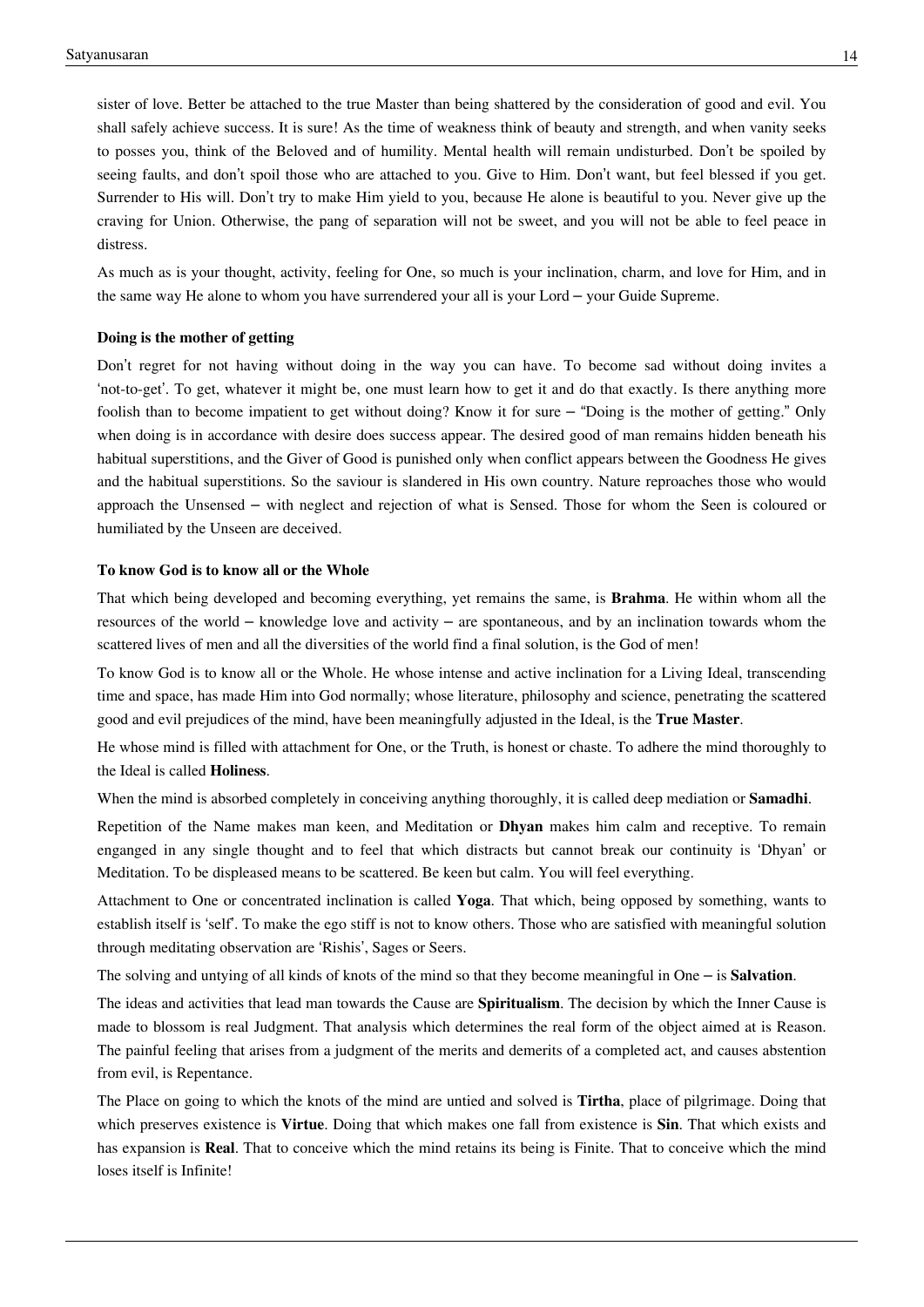sister of love. Better be attached to the true Master than being shattered by the consideration of good and evil. You shall safely achieve success. It is sure! As the time of weakness think of beauty and strength, and when vanity seeks to posses you, think of the Beloved and of humility. Mental health will remain undisturbed. Don't be spoiled by seeing faults, and don't spoil those who are attached to you. Give to Him. Don't want, but feel blessed if you get. Surrender to His will. Don't try to make Him yield to you, because He alone is beautiful to you. Never give up the craving for Union. Otherwise, the pang of separation will not be sweet, and you will not be able to feel peace in distress.

As much as is your thought, activity, feeling for One, so much is your inclination, charm, and love for Him, and in the same way He alone to whom you have surrendered your all is your Lord – your Guide Supreme.

## **Doing is the mother of getting**

Don't regret for not having without doing in the way you can have. To become sad without doing invites a 'not-to-get'. To get, whatever it might be, one must learn how to get it and do that exactly. Is there anything more foolish than to become impatient to get without doing? Know it for sure – "Doing is the mother of getting." Only when doing is in accordance with desire does success appear. The desired good of man remains hidden beneath his habitual superstitions, and the Giver of Good is punished only when conflict appears between the Goodness He gives and the habitual superstitions. So the saviour is slandered in His own country. Nature reproaches those who would approach the Unsensed – with neglect and rejection of what is Sensed. Those for whom the Seen is coloured or humiliated by the Unseen are deceived.

# **To know God is to know all or the Whole**

That which being developed and becoming everything, yet remains the same, is **Brahma**. He within whom all the resources of the world – knowledge love and activity – are spontaneous, and by an inclination towards whom the scattered lives of men and all the diversities of the world find a final solution, is the God of men!

To know God is to know all or the Whole. He whose intense and active inclination for a Living Ideal, transcending time and space, has made Him into God normally; whose literature, philosophy and science, penetrating the scattered good and evil prejudices of the mind, have been meaningfully adjusted in the Ideal, is the **True Master**.

He whose mind is filled with attachment for One, or the Truth, is honest or chaste. To adhere the mind thoroughly to the Ideal is called **Holiness**.

When the mind is absorbed completely in conceiving anything thoroughly, it is called deep mediation or **Samadhi**.

Repetition of the Name makes man keen, and Meditation or **Dhyan** makes him calm and receptive. To remain enganged in any single thought and to feel that which distracts but cannot break our continuity is 'Dhyan' or Meditation. To be displeased means to be scattered. Be keen but calm. You will feel everything.

Attachment to One or concentrated inclination is called **Yoga**. That which, being opposed by something, wants to establish itself is 'self'. To make the ego stiff is not to know others. Those who are satisfied with meaningful solution through meditating observation are 'Rishis', Sages or Seers.

The solving and untying of all kinds of knots of the mind so that they become meaningful in One – is **Salvation**.

The ideas and activities that lead man towards the Cause are **Spiritualism**. The decision by which the Inner Cause is made to blossom is real Judgment. That analysis which determines the real form of the object aimed at is Reason. The painful feeling that arises from a judgment of the merits and demerits of a completed act, and causes abstention from evil, is Repentance.

The Place on going to which the knots of the mind are untied and solved is **Tirtha**, place of pilgrimage. Doing that which preserves existence is **Virtue**. Doing that which makes one fall from existence is **Sin**. That which exists and has expansion is **Real**. That to conceive which the mind retains its being is Finite. That to conceive which the mind loses itself is Infinite!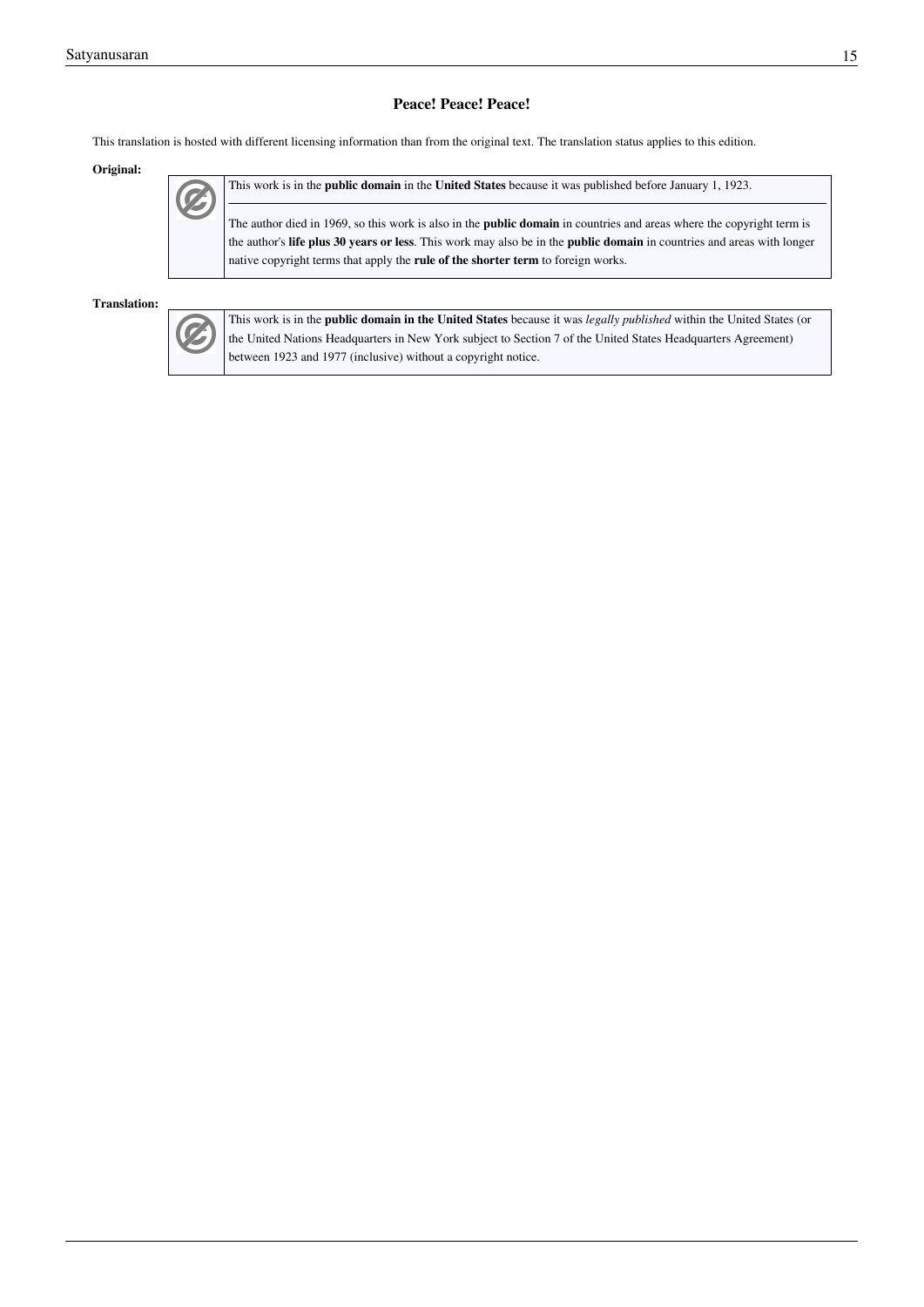# **Peace! Peace! Peace!**

This translation is hosted with different licensing information than from the original text. The translation status applies to this edition.

#### **Original:**



The author died in 1969, so this work is also in the **public domain** in countries and areas where the [copyright term i](http://en.wikisource.org/w/index.php?title=W:List_of_countries%27_copyright_length)s the author's **life plus 30 years or less**. This work may also be in the **public domain** in countries and areas with longer native copyright terms that apply the **[rule of the shorter term](http://en.wikisource.org/w/index.php?title=W:rule_of_the_shorter_term)** to foreign works.

#### **Translation:**



This work is in the **[public domain](http://en.wikisource.org/w/index.php?title=W:public_domain) in the United States** because it was *[legally published](http://en.wikisource.org/w/index.php?title=United_States_Code/Title_17/Chapter_1/Section_101%23publication)* within the United States (or the United Nations Headquarters in New York subject to Section 7 of the [United States Headquarters Agreement\)](http://en.wikisource.org/w/index.php?title=United_States_Headquarters_Agreement) between 1923 and 1977 (inclusive) without a copyright notice.